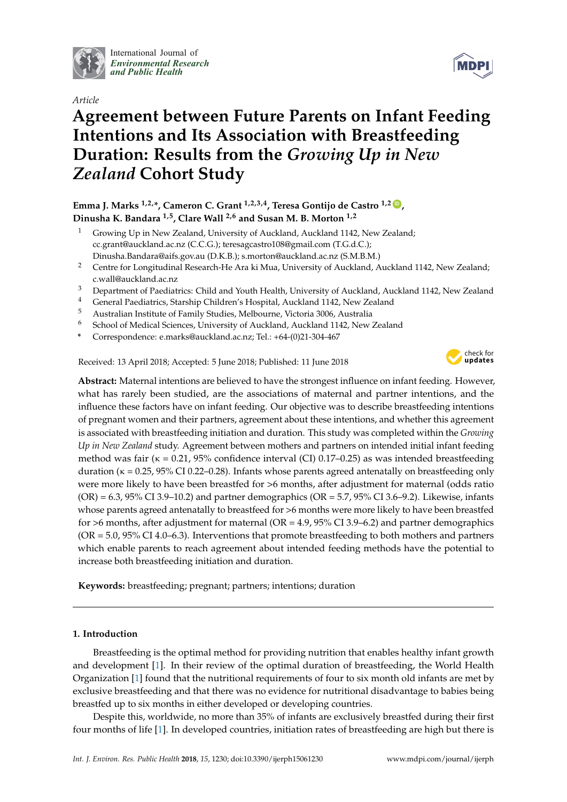

International Journal of *[Environmental Research](http://www.mdpi.com/journal/ijerph) and Public Health*



# **Agreement between Future Parents on Infant Feeding Intentions and Its Association with Breastfeeding Duration: Results from the** *Growing Up in New Zealand* **Cohort Study**

# **Emma J. Marks 1,2,\*, Cameron C. Grant 1,2,3,4, Teresa Gontijo de Castro 1,2 [ID](https://orcid.org/0000-0003-1275-4072) , Dinusha K. Bandara 1,5, Clare Wall 2,6 and Susan M. B. Morton 1,2**

- <sup>1</sup> Growing Up in New Zealand, University of Auckland, Auckland 1142, New Zealand; cc.grant@auckland.ac.nz (C.C.G.); teresagcastro108@gmail.com (T.G.d.C.); Dinusha.Bandara@aifs.gov.au (D.K.B.); s.morton@auckland.ac.nz (S.M.B.M.)
- <sup>2</sup> Centre for Longitudinal Research-He Ara ki Mua, University of Auckland, Auckland 1142, New Zealand; c.wall@auckland.ac.nz
- <sup>3</sup> Department of Paediatrics: Child and Youth Health, University of Auckland, Auckland 1142, New Zealand <sup>4</sup>
- <sup>4</sup> General Paediatrics, Starship Children's Hospital, Auckland 1142, New Zealand
- <sup>5</sup> Australian Institute of Family Studies, Melbourne, Victoria 3006, Australia
- <sup>6</sup> School of Medical Sciences, University of Auckland, Auckland 1142, New Zealand
- **\*** Correspondence: e.marks@auckland.ac.nz; Tel.: +64-(0)21-304-467

Received: 13 April 2018; Accepted: 5 June 2018; Published: 11 June 2018



**MDPI** 

**Abstract:** Maternal intentions are believed to have the strongest influence on infant feeding. However, what has rarely been studied, are the associations of maternal and partner intentions, and the influence these factors have on infant feeding. Our objective was to describe breastfeeding intentions of pregnant women and their partners, agreement about these intentions, and whether this agreement is associated with breastfeeding initiation and duration. This study was completed within the *Growing Up in New Zealand* study. Agreement between mothers and partners on intended initial infant feeding method was fair ( $\kappa = 0.21$ , 95% confidence interval (CI) 0.17–0.25) as was intended breastfeeding duration (κ = 0.25, 95% CI 0.22–0.28). Infants whose parents agreed antenatally on breastfeeding only were more likely to have been breastfed for >6 months, after adjustment for maternal (odds ratio  $(OR) = 6.3, 95\% \text{ CI } 3.9-10.2$  and partner demographics  $(OR = 5.7, 95\% \text{ CI } 3.6-9.2)$ . Likewise, infants whose parents agreed antenatally to breastfeed for >6 months were more likely to have been breastfed for >6 months, after adjustment for maternal (OR = 4.9, 95% CI 3.9–6.2) and partner demographics (OR = 5.0, 95% CI 4.0–6.3). Interventions that promote breastfeeding to both mothers and partners which enable parents to reach agreement about intended feeding methods have the potential to increase both breastfeeding initiation and duration.

**Keywords:** breastfeeding; pregnant; partners; intentions; duration

## **1. Introduction**

Breastfeeding is the optimal method for providing nutrition that enables healthy infant growth and development [\[1\]](#page-13-0). In their review of the optimal duration of breastfeeding, the World Health Organization [\[1\]](#page-13-0) found that the nutritional requirements of four to six month old infants are met by exclusive breastfeeding and that there was no evidence for nutritional disadvantage to babies being breastfed up to six months in either developed or developing countries.

Despite this, worldwide, no more than 35% of infants are exclusively breastfed during their first four months of life [\[1\]](#page-13-0). In developed countries, initiation rates of breastfeeding are high but there is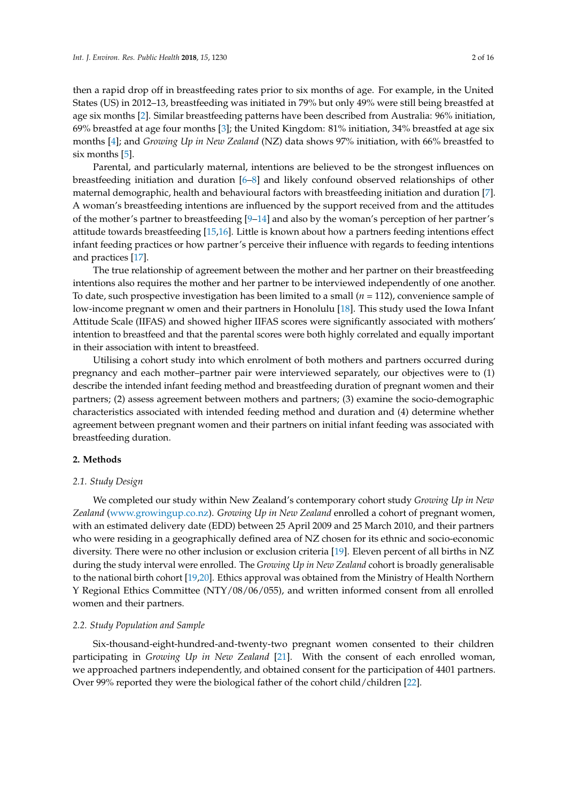then a rapid drop off in breastfeeding rates prior to six months of age. For example, in the United States (US) in 2012–13, breastfeeding was initiated in 79% but only 49% were still being breastfed at age six months [\[2\]](#page-13-1). Similar breastfeeding patterns have been described from Australia: 96% initiation, 69% breastfed at age four months [\[3\]](#page-13-2); the United Kingdom: 81% initiation, 34% breastfed at age six months [\[4\]](#page-13-3); and *Growing Up in New Zealand* (NZ) data shows 97% initiation, with 66% breastfed to six months [\[5\]](#page-13-4).

Parental, and particularly maternal, intentions are believed to be the strongest influences on breastfeeding initiation and duration [\[6](#page-13-5)[–8\]](#page-13-6) and likely confound observed relationships of other maternal demographic, health and behavioural factors with breastfeeding initiation and duration [\[7\]](#page-13-7). A woman's breastfeeding intentions are influenced by the support received from and the attitudes of the mother's partner to breastfeeding [\[9](#page-13-8)[–14\]](#page-14-0) and also by the woman's perception of her partner's attitude towards breastfeeding [\[15,](#page-14-1)[16\]](#page-14-2). Little is known about how a partners feeding intentions effect infant feeding practices or how partner's perceive their influence with regards to feeding intentions and practices [\[17\]](#page-14-3).

The true relationship of agreement between the mother and her partner on their breastfeeding intentions also requires the mother and her partner to be interviewed independently of one another. To date, such prospective investigation has been limited to a small (*n =* 112), convenience sample of low-income pregnant w omen and their partners in Honolulu [\[18\]](#page-14-4). This study used the Iowa Infant Attitude Scale (IIFAS) and showed higher IIFAS scores were significantly associated with mothers' intention to breastfeed and that the parental scores were both highly correlated and equally important in their association with intent to breastfeed.

Utilising a cohort study into which enrolment of both mothers and partners occurred during pregnancy and each mother–partner pair were interviewed separately, our objectives were to (1) describe the intended infant feeding method and breastfeeding duration of pregnant women and their partners; (2) assess agreement between mothers and partners; (3) examine the socio-demographic characteristics associated with intended feeding method and duration and (4) determine whether agreement between pregnant women and their partners on initial infant feeding was associated with breastfeeding duration.

#### **2. Methods**

#### *2.1. Study Design*

We completed our study within New Zealand's contemporary cohort study *Growing Up in New Zealand* [\(www.growingup.co.nz\)](www.growingup.co.nz). *Growing Up in New Zealand* enrolled a cohort of pregnant women, with an estimated delivery date (EDD) between 25 April 2009 and 25 March 2010, and their partners who were residing in a geographically defined area of NZ chosen for its ethnic and socio-economic diversity. There were no other inclusion or exclusion criteria [\[19\]](#page-14-5). Eleven percent of all births in NZ during the study interval were enrolled. The *Growing Up in New Zealand* cohort is broadly generalisable to the national birth cohort [\[19,](#page-14-5)[20\]](#page-14-6). Ethics approval was obtained from the Ministry of Health Northern Y Regional Ethics Committee (NTY/08/06/055), and written informed consent from all enrolled women and their partners.

#### *2.2. Study Population and Sample*

Six-thousand-eight-hundred-and-twenty-two pregnant women consented to their children participating in *Growing Up in New Zealand* [\[21\]](#page-14-7). With the consent of each enrolled woman, we approached partners independently, and obtained consent for the participation of 4401 partners. Over 99% reported they were the biological father of the cohort child/children [\[22\]](#page-14-8).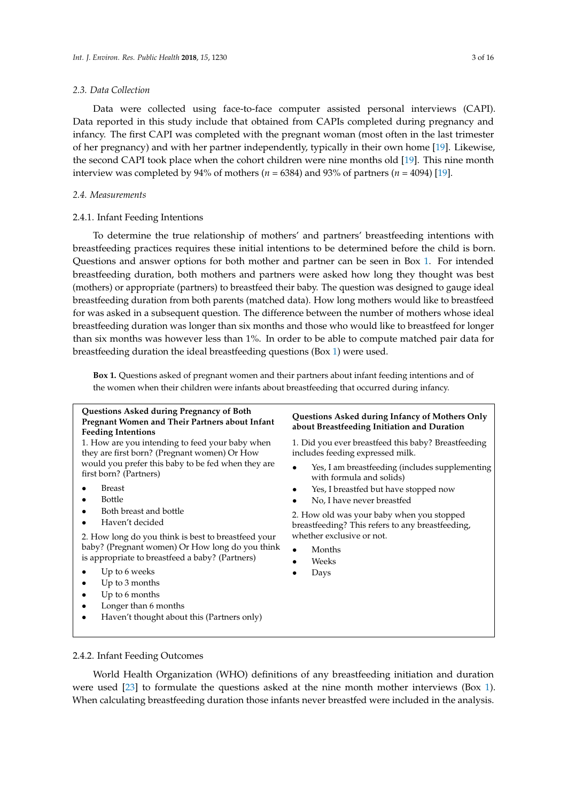#### *2.3. Data Collection*

Data were collected using face-to-face computer assisted personal interviews (CAPI). Data reported in this study include that obtained from CAPIs completed during pregnancy and infancy. The first CAPI was completed with the pregnant woman (most often in the last trimester of her pregnancy) and with her partner independently, typically in their own home [\[19\]](#page-14-5). Likewise, the second CAPI took place when the cohort children were nine months old [\[19\]](#page-14-5). This nine month interview was completed by 94% of mothers (*n =* 6384) and 93% of partners (*n =* 4094) [\[19\]](#page-14-5).

#### *2.4. Measurements*

#### 2.4.1. Infant Feeding Intentions

To determine the true relationship of mothers' and partners' breastfeeding intentions with breastfeeding practices requires these initial intentions to be determined before the child is born. Questions and answer options for both mother and partner can be seen in Box [1.](#page-2-0) For intended breastfeeding duration, both mothers and partners were asked how long they thought was best (mothers) or appropriate (partners) to breastfeed their baby. The question was designed to gauge ideal breastfeeding duration from both parents (matched data). How long mothers would like to breastfeed for was asked in a subsequent question. The difference between the number of mothers whose ideal breastfeeding duration was longer than six months and those who would like to breastfeed for longer than six months was however less than 1%. In order to be able to compute matched pair data for breastfeeding duration the ideal breastfeeding questions (Box [1\)](#page-2-0) were used.

<span id="page-2-0"></span>**Box 1.** Questions asked of pregnant women and their partners about infant feeding intentions and of the women when their children were infants about breastfeeding that occurred during infancy.

#### **Questions Asked during Pregnancy of Both Pregnant Women and Their Partners about Infant Feeding Intentions**

1. How are you intending to feed your baby when they are first born? (Pregnant women) Or How would you prefer this baby to be fed when they are first born? (Partners)

- **Breast**
- Bottle
- Both breast and bottle
- Haven't decided

2. How long do you think is best to breastfeed your baby? (Pregnant women) Or How long do you think is appropriate to breastfeed a baby? (Partners)

- Up to 6 weeks
- Up to 3 months
- Up to 6 months
- Longer than 6 months
- Haven't thought about this (Partners only)

#### **Questions Asked during Infancy of Mothers Only about Breastfeeding Initiation and Duration**

1. Did you ever breastfeed this baby? Breastfeeding includes feeding expressed milk.

- Yes, I am breastfeeding (includes supplementing with formula and solids)
- Yes, I breastfed but have stopped now
- No, I have never breastfed

2. How old was your baby when you stopped breastfeeding? This refers to any breastfeeding, whether exclusive or not.

- Months
- Weeks
- Days

#### 2.4.2. Infant Feeding Outcomes

World Health Organization (WHO) definitions of any breastfeeding initiation and duration were used [\[23\]](#page-14-9) to formulate the questions asked at the nine month mother interviews (Box [1\)](#page-2-0). When calculating breastfeeding duration those infants never breastfed were included in the analysis.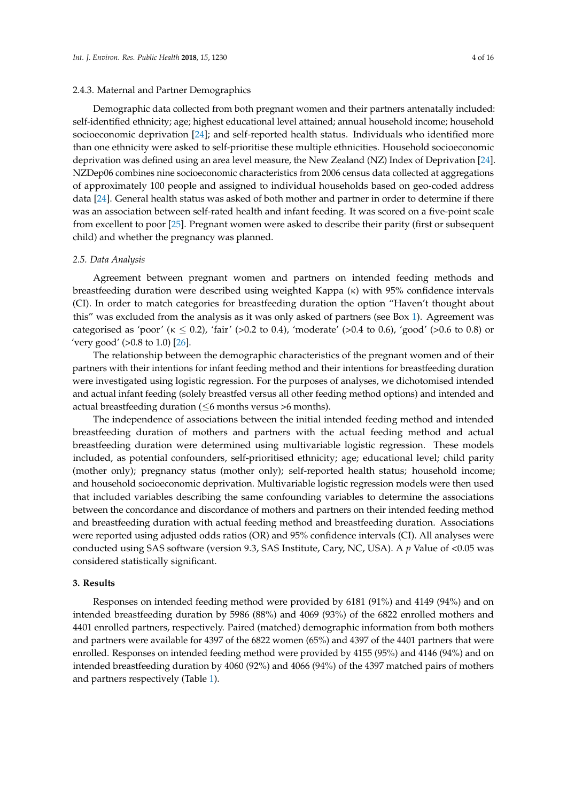#### 2.4.3. Maternal and Partner Demographics

Demographic data collected from both pregnant women and their partners antenatally included: self-identified ethnicity; age; highest educational level attained; annual household income; household socioeconomic deprivation [\[24\]](#page-14-10); and self-reported health status. Individuals who identified more than one ethnicity were asked to self-prioritise these multiple ethnicities. Household socioeconomic deprivation was defined using an area level measure, the New Zealand (NZ) Index of Deprivation [\[24\]](#page-14-10). NZDep06 combines nine socioeconomic characteristics from 2006 census data collected at aggregations of approximately 100 people and assigned to individual households based on geo-coded address data [\[24\]](#page-14-10). General health status was asked of both mother and partner in order to determine if there was an association between self-rated health and infant feeding. It was scored on a five-point scale from excellent to poor [\[25\]](#page-14-11). Pregnant women were asked to describe their parity (first or subsequent child) and whether the pregnancy was planned.

#### *2.5. Data Analysis*

Agreement between pregnant women and partners on intended feeding methods and breastfeeding duration were described using weighted Kappa (κ) with 95% confidence intervals (CI). In order to match categories for breastfeeding duration the option "Haven't thought about this" was excluded from the analysis as it was only asked of partners (see Box [1\)](#page-2-0). Agreement was categorised as 'poor' ( $\kappa \le 0.2$ ), 'fair' (>0.2 to 0.4), 'moderate' (>0.4 to 0.6), 'good' (>0.6 to 0.8) or 'very good'  $(>0.8 \text{ to } 1.0)$  [\[26\]](#page-14-12).

The relationship between the demographic characteristics of the pregnant women and of their partners with their intentions for infant feeding method and their intentions for breastfeeding duration were investigated using logistic regression. For the purposes of analyses, we dichotomised intended and actual infant feeding (solely breastfed versus all other feeding method options) and intended and actual breastfeeding duration ( $\leq$ 6 months versus >6 months).

The independence of associations between the initial intended feeding method and intended breastfeeding duration of mothers and partners with the actual feeding method and actual breastfeeding duration were determined using multivariable logistic regression. These models included, as potential confounders, self-prioritised ethnicity; age; educational level; child parity (mother only); pregnancy status (mother only); self-reported health status; household income; and household socioeconomic deprivation. Multivariable logistic regression models were then used that included variables describing the same confounding variables to determine the associations between the concordance and discordance of mothers and partners on their intended feeding method and breastfeeding duration with actual feeding method and breastfeeding duration. Associations were reported using adjusted odds ratios (OR) and 95% confidence intervals (CI). All analyses were conducted using SAS software (version 9.3, SAS Institute, Cary, NC, USA). A *p* Value of <0.05 was considered statistically significant.

#### **3. Results**

Responses on intended feeding method were provided by 6181 (91%) and 4149 (94%) and on intended breastfeeding duration by 5986 (88%) and 4069 (93%) of the 6822 enrolled mothers and 4401 enrolled partners, respectively. Paired (matched) demographic information from both mothers and partners were available for 4397 of the 6822 women (65%) and 4397 of the 4401 partners that were enrolled. Responses on intended feeding method were provided by 4155 (95%) and 4146 (94%) and on intended breastfeeding duration by 4060 (92%) and 4066 (94%) of the 4397 matched pairs of mothers and partners respectively (Table [1\)](#page-4-0).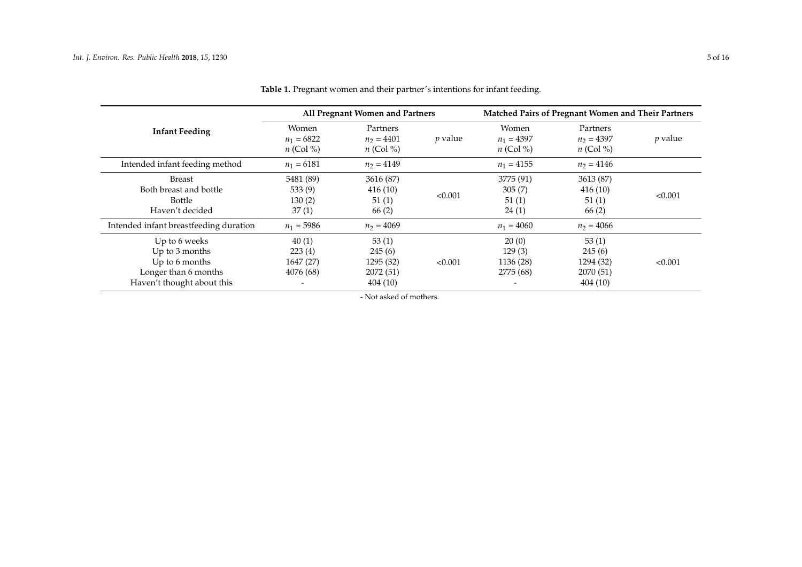<span id="page-4-0"></span>

|                                                                                                         | All Pregnant Women and Partners           |                                                      |                | Matched Pairs of Pregnant Women and Their Partners |                                                      |                |
|---------------------------------------------------------------------------------------------------------|-------------------------------------------|------------------------------------------------------|----------------|----------------------------------------------------|------------------------------------------------------|----------------|
| <b>Infant Feeding</b>                                                                                   | Women<br>$n_1 = 6822$<br>$n$ (Col %)      | Partners<br>$n_2 = 4401$<br>$n$ (Col %)              | <i>p</i> value | Women<br>$n_1 = 4397$<br>$n$ (Col %)               | Partners<br>$n_2 = 4397$<br>$n$ (Col %)              | <i>p</i> value |
| Intended infant feeding method                                                                          | $n_1 = 6181$                              | $n_2 = 4149$                                         |                | $n_1 = 4155$                                       | $n_2 = 4146$                                         |                |
| Breast<br>Both breast and bottle<br>Bottle<br>Haven't decided                                           | 5481 (89)<br>533(9)<br>130(2)<br>37(1)    | 3616 (87)<br>416(10)<br>51(1)<br>66(2)               | < 0.001        | 3775 (91)<br>305(7)<br>51(1)<br>24(1)              | 3613 (87)<br>416(10)<br>51(1)<br>66(2)               | < 0.001        |
| Intended infant breastfeeding duration                                                                  | $n_1 = 5986$                              | $n_2 = 4069$                                         |                | $n_1 = 4060$                                       | $n_2 = 4066$                                         |                |
| Up to 6 weeks<br>Up to 3 months<br>Up to 6 months<br>Longer than 6 months<br>Haven't thought about this | 40(1)<br>223(4)<br>1647 (27)<br>4076 (68) | 53(1)<br>245(6)<br>1295 (32)<br>2072 (51)<br>404(10) | < 0.001        | 20(0)<br>129(3)<br>1136 (28)<br>2775 (68)          | 53(1)<br>245(6)<br>1294 (32)<br>2070 (51)<br>404(10) | < 0.001        |

**Table 1.** Pregnant women and their partner's intentions for infant feeding.

- Not asked of mothers.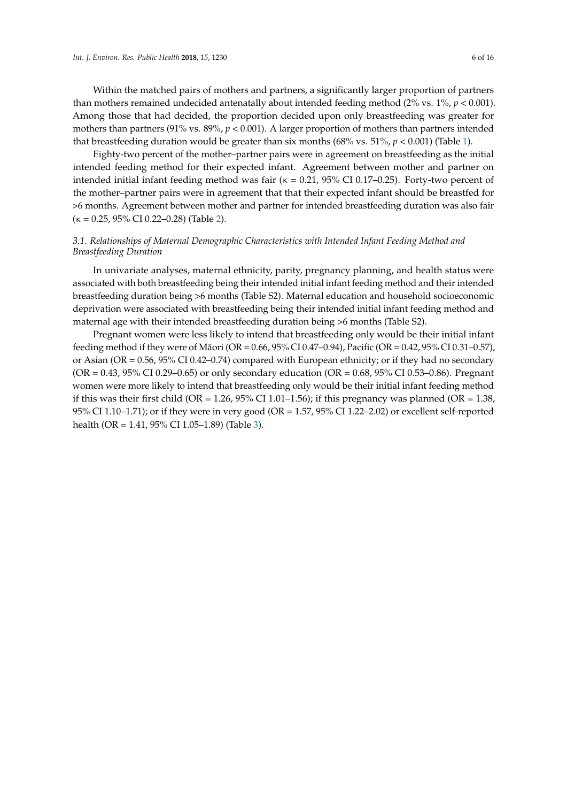Within the matched pairs of mothers and partners, a significantly larger proportion of partners than mothers remained undecided antenatally about intended feeding method  $(2\% \text{ vs. } 1\%, p < 0.001)$ . Among those that had decided, the proportion decided upon only breastfeeding was greater for mothers than partners (91% vs. 89%, *p* < 0.001). A larger proportion of mothers than partners intended that breastfeeding duration would be greater than six months (68% vs. 51%,  $p < 0.001$ ) (Table [1\)](#page-4-0).

Eighty-two percent of the mother–partner pairs were in agreement on breastfeeding as the initial intended feeding method for their expected infant. Agreement between mother and partner on intended initial infant feeding method was fair ( $\kappa = 0.21$ , 95% CI 0.17–0.25). Forty-two percent of the mother–partner pairs were in agreement that that their expected infant should be breastfed for >6 months. Agreement between mother and partner for intended breastfeeding duration was also fair  $(\kappa = 0.25, 95\% \text{ CI } 0.22 - 0.28)$  (Table [2\)](#page-6-0).

## *3.1. Relationships of Maternal Demographic Characteristics with Intended Infant Feeding Method and Breastfeeding Duration*

In univariate analyses, maternal ethnicity, parity, pregnancy planning, and health status were associated with both breastfeeding being their intended initial infant feeding method and their intended breastfeeding duration being >6 months (Table S2). Maternal education and household socioeconomic deprivation were associated with breastfeeding being their intended initial infant feeding method and maternal age with their intended breastfeeding duration being >6 months (Table S2).

Pregnant women were less likely to intend that breastfeeding only would be their initial infant feeding method if they were of Māori (OR = 0.66, 95% CI 0.47–0.94), Pacific (OR = 0.42, 95% CI 0.31–0.57), or Asian (OR = 0.56, 95% CI 0.42–0.74) compared with European ethnicity; or if they had no secondary  $(OR = 0.43, 95\% \text{ CI } 0.29 - 0.65)$  or only secondary education  $(OR = 0.68, 95\% \text{ CI } 0.53 - 0.86)$ . Pregnant women were more likely to intend that breastfeeding only would be their initial infant feeding method if this was their first child (OR = 1.26,  $95\%$  CI 1.01–1.56); if this pregnancy was planned (OR = 1.38, 95% CI 1.10–1.71); or if they were in very good (OR = 1.57, 95% CI 1.22–2.02) or excellent self-reported health (OR = 1.41, 95% CI 1.05–1.89) (Table [3\)](#page-7-0).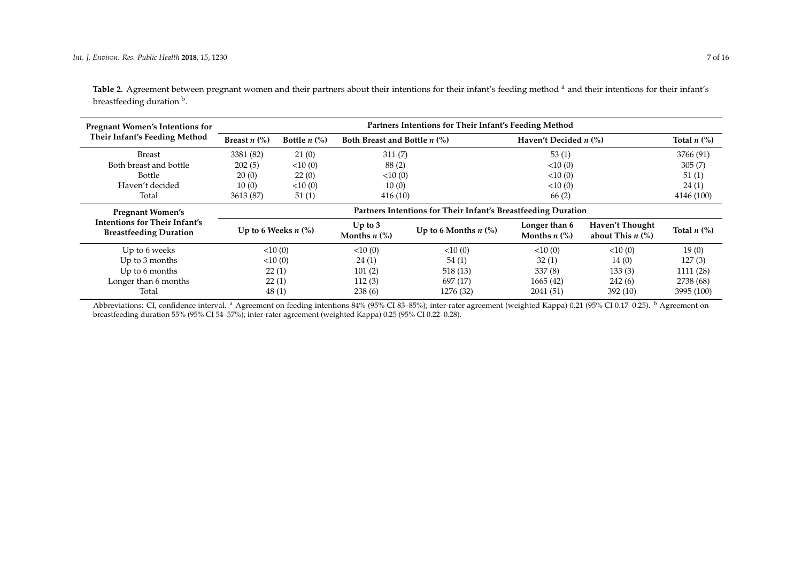| Table 2. Agreement between pregnant women and their partners about their intentions for their infant's feeding method <sup>a</sup> and their intentions for their infant's |  |
|----------------------------------------------------------------------------------------------------------------------------------------------------------------------------|--|
| breastfeeding duration b.                                                                                                                                                  |  |

| <b>Pregnant Women's Intentions for</b>                         | Partners Intentions for Their Infant's Feeding Method |                               |                                                    |                                                               |                                                        |                                                      |                              |  |  |
|----------------------------------------------------------------|-------------------------------------------------------|-------------------------------|----------------------------------------------------|---------------------------------------------------------------|--------------------------------------------------------|------------------------------------------------------|------------------------------|--|--|
| Their Infant's Feeding Method                                  | Breast $n$ (%)                                        | Bottle $n$ $\left(\% \right)$ | Both Breast and Bottle $n$ (%)                     |                                                               |                                                        | Haven't Decided $n$ (%)                              |                              |  |  |
| <b>Breast</b>                                                  | 3381 (82)                                             | 21(0)                         | 311(7)                                             |                                                               | 53(1)                                                  |                                                      | 3766 (91)                    |  |  |
| Both breast and bottle                                         | 202(5)                                                | <10(0)                        | 88(2)                                              |                                                               | <10(0)                                                 |                                                      | 305(7)                       |  |  |
| Bottle                                                         | 20(0)                                                 | 22(0)                         | 10(0)                                              |                                                               | <10(0)                                                 |                                                      | 51(1)                        |  |  |
| Haven't decided                                                | 10(0)                                                 | <10(0)                        | 10(0)                                              |                                                               | <10(0)                                                 |                                                      | 24(1)                        |  |  |
| Total                                                          | 3613 (87)                                             | 51(1)                         | 416(10)                                            |                                                               | 66(2)                                                  |                                                      | 4146 (100)                   |  |  |
| <b>Pregnant Women's</b>                                        |                                                       |                               |                                                    | Partners Intentions for Their Infant's Breastfeeding Duration |                                                        |                                                      |                              |  |  |
| Intentions for Their Infant's<br><b>Breastfeeding Duration</b> |                                                       | Up to 6 Weeks $n$ $\%$ )      | Up to $3$<br>Months $n$ $\left(\frac{9}{6}\right)$ | Up to 6 Months $n$ (%)                                        | Longer than 6<br>Months $n$ $\left(\frac{9}{6}\right)$ | Haven't Thought<br>about This $n$ $\left(\% \right)$ | Total $n$ $\left(\% \right)$ |  |  |
| Up to 6 weeks                                                  |                                                       | <10(0)                        | <10(0)                                             | <10(0)                                                        | <10(0)                                                 | <10(0)                                               | 19(0)                        |  |  |
| Up to 3 months                                                 |                                                       | <10(0)                        | 24(1)                                              | 54(1)                                                         | 32(1)                                                  | 14(0)                                                | 127(3)                       |  |  |
| Up to 6 months                                                 |                                                       | 22(1)                         | 101(2)                                             | 518(13)                                                       | 337(8)                                                 | 133(3)                                               | 1111 (28)                    |  |  |
| Longer than 6 months                                           |                                                       | 22(1)                         | 112(3)                                             | 697 (17)                                                      | 1665(42)                                               | 242(6)                                               | 2738 (68)                    |  |  |
| Total                                                          |                                                       | 48(1)                         | 238(6)                                             | 1276 (32)                                                     | 2041 (51)                                              | 392(10)                                              | 3995 (100)                   |  |  |

<span id="page-6-0"></span>Abbreviations: CI, confidence interval. <sup>a</sup> Agreement on feeding intentions 84% (95% CI 83–85%); inter-rater agreement (weighted Kappa) 0.21 (95% CI 0.17–0.25). <sup>b</sup> Agreement on breastfeeding duration 55% (95% CI 54–57%); inter-rater agreement (weighted Kappa) 0.25 (95% CI 0.22–0.28).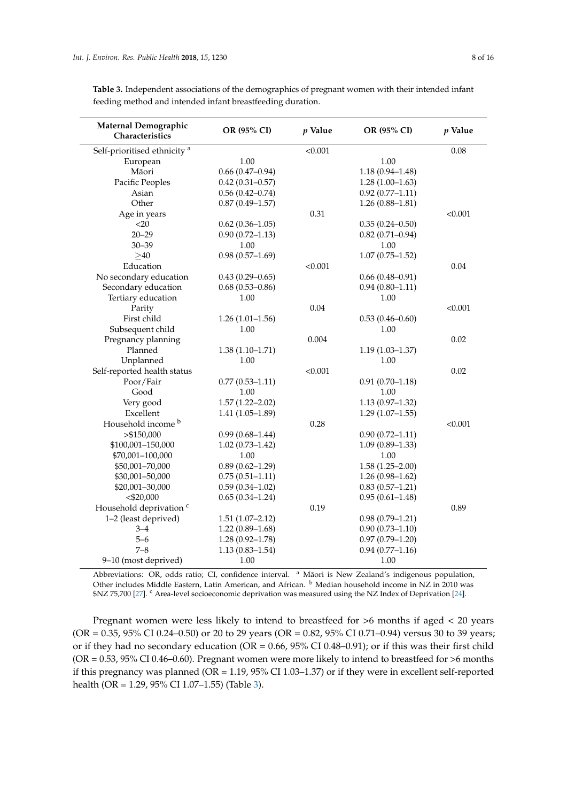| Maternal Demographic<br>Characteristics | OR (95% CI)         | $p$ Value | OR (95% CI)         | $p$ Value |
|-----------------------------------------|---------------------|-----------|---------------------|-----------|
| Self-prioritised ethnicity <sup>a</sup> |                     | < 0.001   |                     | 0.08      |
| European                                | 1.00                |           | 1.00                |           |
| Māori                                   | $0.66(0.47-0.94)$   |           | $1.18(0.94 - 1.48)$ |           |
| Pacific Peoples                         | $0.42(0.31 - 0.57)$ |           | $1.28(1.00-1.63)$   |           |
| Asian                                   | $0.56(0.42 - 0.74)$ |           | $0.92(0.77 - 1.11)$ |           |
| Other                                   | $0.87(0.49 - 1.57)$ |           | $1.26(0.88 - 1.81)$ |           |
| Age in years                            |                     | 0.31      |                     | < 0.001   |
| $<$ 20                                  | $0.62(0.36 - 1.05)$ |           | $0.35(0.24 - 0.50)$ |           |
| $20 - 29$                               | $0.90(0.72 - 1.13)$ |           | $0.82(0.71 - 0.94)$ |           |
| $30 - 39$                               | 1.00                |           | 1.00                |           |
| $\geq 40$                               | $0.98(0.57-1.69)$   |           | $1.07(0.75 - 1.52)$ |           |
| Education                               |                     | < 0.001   |                     | 0.04      |
| No secondary education                  | $0.43(0.29 - 0.65)$ |           | $0.66(0.48 - 0.91)$ |           |
| Secondary education                     | $0.68(0.53 - 0.86)$ |           | $0.94(0.80 - 1.11)$ |           |
| Tertiary education                      | 1.00                |           | 1.00                |           |
| Parity                                  |                     | 0.04      |                     | < 0.001   |
| First child                             | $1.26(1.01-1.56)$   |           | $0.53(0.46 - 0.60)$ |           |
| Subsequent child                        | 1.00                |           | 1.00                |           |
| Pregnancy planning                      |                     | 0.004     |                     | 0.02      |
| Planned                                 | $1.38(1.10-1.71)$   |           | $1.19(1.03 - 1.37)$ |           |
| Unplanned                               | 1.00                |           | 1.00                |           |
| Self-reported health status             |                     | < 0.001   |                     | 0.02      |
| Poor/Fair                               | $0.77(0.53 - 1.11)$ |           | $0.91(0.70-1.18)$   |           |
| Good                                    | 1.00                |           | 1.00                |           |
| Very good                               | $1.57(1.22 - 2.02)$ |           | $1.13(0.97-1.32)$   |           |
| Excellent                               | $1.41(1.05-1.89)$   |           | $1.29(1.07-1.55)$   |           |
| Household income <sup>b</sup>           |                     | 0.28      |                     | < 0.001   |
| > \$150,000                             | $0.99(0.68 - 1.44)$ |           | $0.90(0.72 - 1.11)$ |           |
| \$100,001-150,000                       | $1.02(0.73 - 1.42)$ |           | $1.09(0.89 - 1.33)$ |           |
| \$70,001-100,000                        | 1.00                |           | 1.00                |           |
| \$50,001-70,000                         | $0.89(0.62 - 1.29)$ |           | $1.58(1.25 - 2.00)$ |           |
| \$30,001-50,000                         | $0.75(0.51 - 1.11)$ |           | $1.26(0.98-1.62)$   |           |
| \$20,001-30,000                         | $0.59(0.34 - 1.02)$ |           | $0.83(0.57-1.21)$   |           |
| $<$ \$20,000                            | $0.65(0.34 - 1.24)$ |           | $0.95(0.61 - 1.48)$ |           |
| Household deprivation <sup>c</sup>      |                     | 0.19      |                     | 0.89      |
| 1-2 (least deprived)                    | $1.51(1.07 - 2.12)$ |           | $0.98(0.79 - 1.21)$ |           |
| $3 - 4$                                 | $1.22(0.89 - 1.68)$ |           | $0.90(0.73 - 1.10)$ |           |
| $5 - 6$                                 | $1.28(0.92 - 1.78)$ |           | $0.97(0.79 - 1.20)$ |           |
| $7 - 8$                                 | $1.13(0.83 - 1.54)$ |           | $0.94(0.77-1.16)$   |           |
| 9-10 (most deprived)                    | 1.00                |           | 1.00                |           |

<span id="page-7-0"></span>**Table 3.** Independent associations of the demographics of pregnant women with their intended infant feeding method and intended infant breastfeeding duration.

Abbreviations: OR, odds ratio; CI, confidence interval. <sup>a</sup> Māori is New Zealand's indigenous population, Other includes Middle Eastern, Latin American, and African. <sup>b</sup> Median household income in NZ in 2010 was \$NZ 75,700 [\[27\]](#page-14-13). <sup>c</sup> Area-level socioeconomic deprivation was measured using the NZ Index of Deprivation [\[24\]](#page-14-10).

Pregnant women were less likely to intend to breastfeed for >6 months if aged < 20 years  $(OR = 0.35, 95\% \text{ CI } 0.24 - 0.50)$  or 20 to 29 years  $(OR = 0.82, 95\% \text{ CI } 0.71 - 0.94)$  versus 30 to 39 years; or if they had no secondary education (OR = 0.66, 95% CI 0.48–0.91); or if this was their first child ( $OR = 0.53$ ,  $95\%$  CI 0.46–0.60). Pregnant women were more likely to intend to breastfeed for  $>6$  months if this pregnancy was planned (OR = 1.19, 95% CI 1.03–1.37) or if they were in excellent self-reported health (OR = 1.29, 95% CI 1.07–1.55) (Table [3\)](#page-7-0).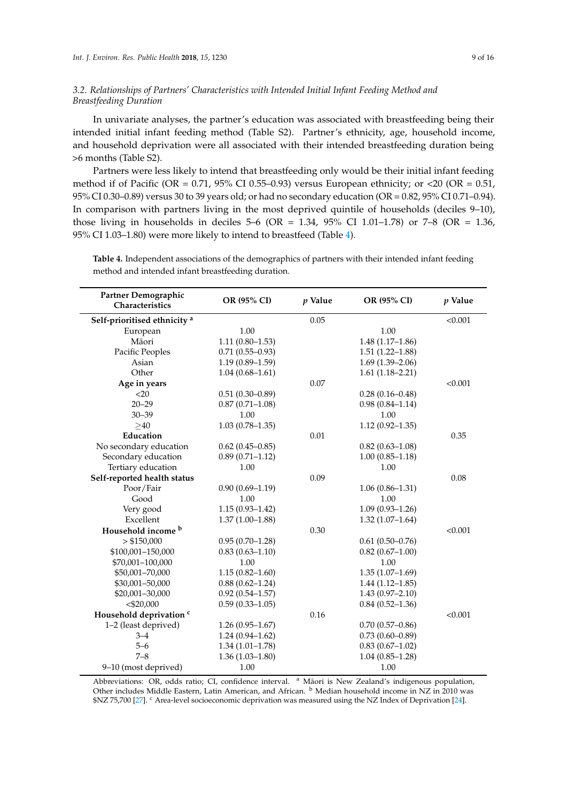# *3.2. Relationships of Partners' Characteristics with Intended Initial Infant Feeding Method and Breastfeeding Duration*

In univariate analyses, the partner's education was associated with breastfeeding being their intended initial infant feeding method (Table S2). Partner's ethnicity, age, household income, and household deprivation were all associated with their intended breastfeeding duration being >6 months (Table S2).

Partners were less likely to intend that breastfeeding only would be their initial infant feeding method if of Pacific (OR = 0.71, 95% CI 0.55–0.93) versus European ethnicity; or <20 (OR = 0.51, 95% CI 0.30–0.89) versus 30 to 39 years old; or had no secondary education (OR = 0.82, 95% CI 0.71–0.94). In comparison with partners living in the most deprived quintile of households (deciles 9–10), those living in households in deciles  $5-6$  (OR = 1.34, 95% CI 1.01–1.78) or 7–8 (OR = 1.36, 95% CI 1.03–1.80) were more likely to intend to breastfeed (Table [4\)](#page-8-0).

| Partner Demographic<br>Characteristics  | OR (95% CI)         | $p$ Value | OR (95% CI)         | p Value |
|-----------------------------------------|---------------------|-----------|---------------------|---------|
| Self-prioritised ethnicity <sup>a</sup> |                     | 0.05      |                     | < 0.001 |
| European                                | 1.00                |           | 1.00                |         |
| Māori                                   | $1.11(0.80-1.53)$   |           | $1.48(1.17-1.86)$   |         |
| Pacific Peoples                         | $0.71(0.55 - 0.93)$ |           | $1.51(1.22 - 1.88)$ |         |
| Asian                                   | $1.19(0.89 - 1.59)$ |           | $1.69(1.39-2.06)$   |         |
| Other                                   | $1.04(0.68 - 1.61)$ |           | $1.61(1.18 - 2.21)$ |         |
| Age in years                            |                     | 0.07      |                     | < 0.001 |
| $<$ 20                                  | $0.51(0.30-0.89)$   |           | $0.28(0.16 - 0.48)$ |         |
| $20 - 29$                               | $0.87(0.71 - 1.08)$ |           | $0.98(0.84 - 1.14)$ |         |
| $30 - 39$                               | 1.00                |           | 1.00                |         |
| $\geq 40$                               | $1.03(0.78 - 1.35)$ |           | $1.12(0.92 - 1.35)$ |         |
| Education                               |                     | 0.01      |                     | 0.35    |
| No secondary education                  | $0.62(0.45-0.85)$   |           | $0.82(0.63 - 1.08)$ |         |
| Secondary education                     | $0.89(0.71 - 1.12)$ |           | $1.00(0.85 - 1.18)$ |         |
| Tertiary education                      | 1.00                |           | 1.00                |         |
| Self-reported health status             |                     | 0.09      |                     | 0.08    |
| Poor/Fair                               | $0.90(0.69 - 1.19)$ |           | $1.06(0.86 - 1.31)$ |         |
| Good                                    | 1.00                |           | 1.00                |         |
| Very good                               | $1.15(0.93 - 1.42)$ |           | $1.09(0.93 - 1.26)$ |         |
| Excellent                               | $1.37(1.00-1.88)$   |           | $1.32(1.07-1.64)$   |         |
| Household income <sup>b</sup>           |                     | 0.30      |                     | < 0.001 |
| > \$150,000                             | $0.95(0.70-1.28)$   |           | $0.61(0.50-0.76)$   |         |
| \$100,001-150,000                       | $0.83(0.63 - 1.10)$ |           | $0.82(0.67-1.00)$   |         |
| \$70,001-100,000                        | 1.00                |           | 1.00                |         |
| \$50,001-70,000                         | $1.15(0.82 - 1.60)$ |           | $1.35(1.07-1.69)$   |         |
| \$30,001-50,000                         | $0.88(0.62 - 1.24)$ |           | $1.44(1.12-1.85)$   |         |
| \$20,001-30,000                         | $0.92(0.54 - 1.57)$ |           | $1.43(0.97 - 2.10)$ |         |
| $<$ \$20,000                            | $0.59(0.33 - 1.05)$ |           | $0.84(0.52 - 1.36)$ |         |
| Household deprivation <sup>c</sup>      |                     | 0.16      |                     | < 0.001 |
| 1-2 (least deprived)                    | $1.26(0.95-1.67)$   |           | $0.70(0.57-0.86)$   |         |
| $3 - 4$                                 | $1.24(0.94-1.62)$   |           | $0.73(0.60 - 0.89)$ |         |
| $5 - 6$                                 | $1.34(1.01-1.78)$   |           | $0.83(0.67-1.02)$   |         |
| $7 - 8$                                 | $1.36(1.03 - 1.80)$ |           | $1.04(0.85-1.28)$   |         |
| 9-10 (most deprived)                    | 1.00                |           | 1.00                |         |

<span id="page-8-0"></span>**Table 4.** Independent associations of the demographics of partners with their intended infant feeding method and intended infant breastfeeding duration.

Abbreviations: OR, odds ratio; CI, confidence interval. <sup>a</sup> Māori is New Zealand's indigenous population, Other includes Middle Eastern, Latin American, and African. <sup>b</sup> Median household income in NZ in 2010 was \$NZ 75,700 [\[27\]](#page-14-13). <sup>c</sup> Area-level socioeconomic deprivation was measured using the NZ Index of Deprivation [\[24\]](#page-14-10).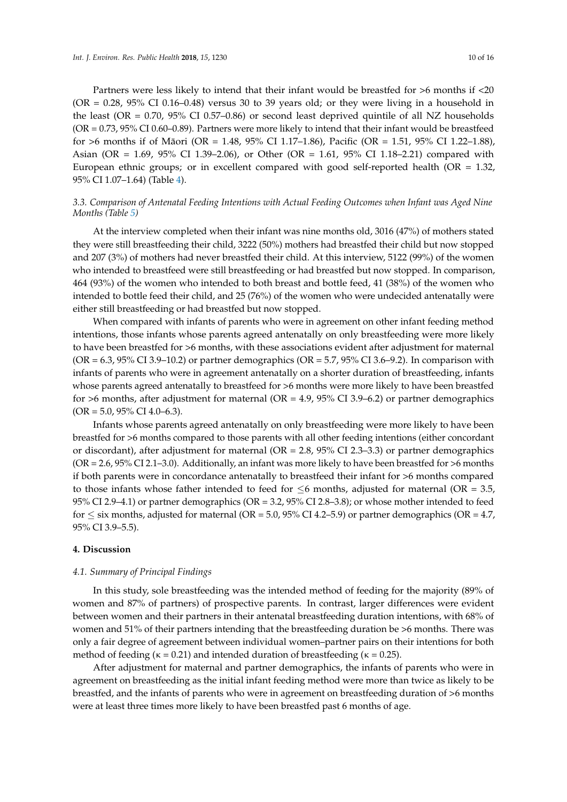Partners were less likely to intend that their infant would be breastfed for >6 months if <20  $(OR = 0.28, 95\% \text{ CI } 0.16 - 0.48)$  versus 30 to 39 years old; or they were living in a household in the least (OR = 0.70, 95% CI 0.57–0.86) or second least deprived quintile of all NZ households (OR = 0.73, 95% CI 0.60–0.89). Partners were more likely to intend that their infant would be breastfeed for >6 months if of Māori (OR = 1.48, 95% CI 1.17–1.86), Pacific (OR = 1.51, 95% CI 1.22–1.88), Asian (OR = 1.69, 95% CI 1.39–2.06), or Other (OR = 1.61, 95% CI 1.18–2.21) compared with European ethnic groups; or in excellent compared with good self-reported health (OR  $= 1.32$ , 95% CI 1.07–1.64) (Table [4\)](#page-8-0).

# *3.3. Comparison of Antenatal Feeding Intentions with Actual Feeding Outcomes when Infant was Aged Nine Months (Table [5\)](#page-10-0)*

At the interview completed when their infant was nine months old, 3016 (47%) of mothers stated they were still breastfeeding their child, 3222 (50%) mothers had breastfed their child but now stopped and 207 (3%) of mothers had never breastfed their child. At this interview, 5122 (99%) of the women who intended to breastfeed were still breastfeeding or had breastfed but now stopped. In comparison, 464 (93%) of the women who intended to both breast and bottle feed, 41 (38%) of the women who intended to bottle feed their child, and 25 (76%) of the women who were undecided antenatally were either still breastfeeding or had breastfed but now stopped.

When compared with infants of parents who were in agreement on other infant feeding method intentions, those infants whose parents agreed antenatally on only breastfeeding were more likely to have been breastfed for >6 months, with these associations evident after adjustment for maternal (OR =  $6.3$ ,  $95\%$  CI 3.9–10.2) or partner demographics (OR =  $5.7$ ,  $95\%$  CI 3.6–9.2). In comparison with infants of parents who were in agreement antenatally on a shorter duration of breastfeeding, infants whose parents agreed antenatally to breastfeed for >6 months were more likely to have been breastfed for  $>6$  months, after adjustment for maternal (OR = 4.9, 95% CI 3.9–6.2) or partner demographics  $(OR = 5.0, 95\% \text{ CI } 4.0 - 6.3).$ 

Infants whose parents agreed antenatally on only breastfeeding were more likely to have been breastfed for >6 months compared to those parents with all other feeding intentions (either concordant or discordant), after adjustment for maternal ( $OR = 2.8$ ,  $95\%$  CI 2.3–3.3) or partner demographics (OR = 2.6, 95% CI 2.1–3.0). Additionally, an infant was more likely to have been breastfed for  $>6$  months if both parents were in concordance antenatally to breastfeed their infant for >6 months compared to those infants whose father intended to feed for  $\leq 6$  months, adjusted for maternal (OR = 3.5, 95% CI 2.9–4.1) or partner demographics (OR = 3.2, 95% CI 2.8–3.8); or whose mother intended to feed for  $\leq$  six months, adjusted for maternal (OR = 5.0, 95% CI 4.2–5.9) or partner demographics (OR = 4.7, 95% CI 3.9–5.5).

#### **4. Discussion**

#### *4.1. Summary of Principal Findings*

In this study, sole breastfeeding was the intended method of feeding for the majority (89% of women and 87% of partners) of prospective parents. In contrast, larger differences were evident between women and their partners in their antenatal breastfeeding duration intentions, with 68% of women and 51% of their partners intending that the breastfeeding duration be >6 months. There was only a fair degree of agreement between individual women–partner pairs on their intentions for both method of feeding ( $\kappa = 0.21$ ) and intended duration of breastfeeding ( $\kappa = 0.25$ ).

After adjustment for maternal and partner demographics, the infants of parents who were in agreement on breastfeeding as the initial infant feeding method were more than twice as likely to be breastfed, and the infants of parents who were in agreement on breastfeeding duration of >6 months were at least three times more likely to have been breastfed past 6 months of age.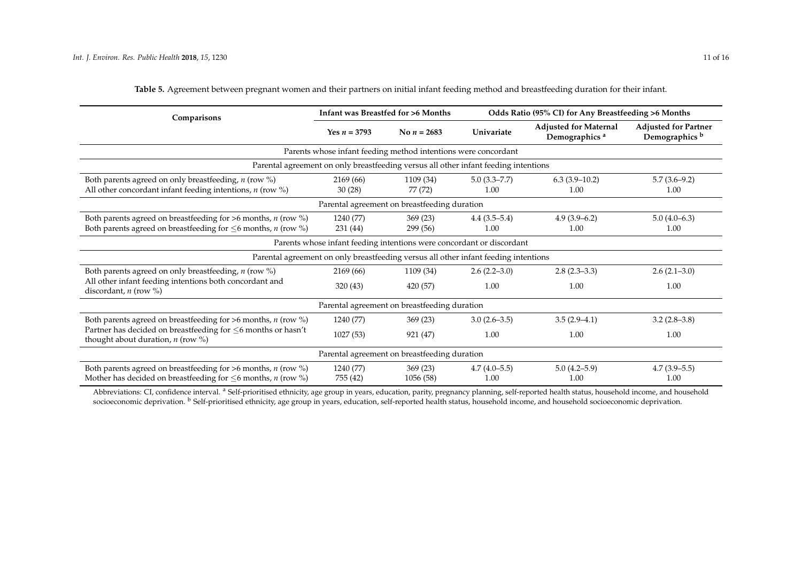| Comparisons                                                                                                                                          |                       | Infant was Breastfed for >6 Months                                                  | Odds Ratio (95% CI) for Any Breastfeeding >6 Months |                                                           |                                                          |
|------------------------------------------------------------------------------------------------------------------------------------------------------|-----------------------|-------------------------------------------------------------------------------------|-----------------------------------------------------|-----------------------------------------------------------|----------------------------------------------------------|
|                                                                                                                                                      | Yes $n = 3793$        | No $n = 2683$                                                                       | Univariate                                          | <b>Adjusted for Maternal</b><br>Demographics <sup>a</sup> | <b>Adjusted for Partner</b><br>Demographics <sup>b</sup> |
|                                                                                                                                                      |                       | Parents whose infant feeding method intentions were concordant                      |                                                     |                                                           |                                                          |
|                                                                                                                                                      |                       | Parental agreement on only breastfeeding versus all other infant feeding intentions |                                                     |                                                           |                                                          |
| Both parents agreed on only breastfeeding, $n$ (row %)<br>All other concordant infant feeding intentions, $n$ (row %)                                | 2169 (66)<br>30(28)   | 1109 (34)<br>77 (72)                                                                | $5.0(3.3 - 7.7)$<br>1.00                            | $6.3(3.9-10.2)$<br>1.00                                   | $5.7(3.6-9.2)$<br>1.00                                   |
|                                                                                                                                                      |                       | Parental agreement on breastfeeding duration                                        |                                                     |                                                           |                                                          |
| Both parents agreed on breastfeeding for $>6$ months, <i>n</i> (row %)<br>Both parents agreed on breastfeeding for $\leq 6$ months, <i>n</i> (row %) | 1240 (77)<br>231 (44) | 369(23)<br>299 (56)                                                                 | $4.4(3.5-5.4)$<br>1.00                              | $4.9(3.9-6.2)$<br>1.00                                    | $5.0(4.0-6.3)$<br>1.00                                   |
|                                                                                                                                                      |                       | Parents whose infant feeding intentions were concordant or discordant               |                                                     |                                                           |                                                          |
|                                                                                                                                                      |                       | Parental agreement on only breastfeeding versus all other infant feeding intentions |                                                     |                                                           |                                                          |
| Both parents agreed on only breastfeeding, $n$ (row %)                                                                                               | 2169 (66)             | 1109 (34)                                                                           | $2.6(2.2 - 3.0)$                                    | $2.8(2.3-3.3)$                                            | $2.6(2.1-3.0)$                                           |
| All other infant feeding intentions both concordant and<br>discordant, $n$ (row %)                                                                   | 320(43)               | 420 (57)                                                                            | 1.00                                                | 1.00                                                      | 1.00                                                     |
|                                                                                                                                                      |                       | Parental agreement on breastfeeding duration                                        |                                                     |                                                           |                                                          |
| Both parents agreed on breastfeeding for $>6$ months, <i>n</i> (row %)                                                                               | 1240 (77)             | 369(23)                                                                             | $3.0(2.6-3.5)$                                      | $3.5(2.9-4.1)$                                            | $3.2(2.8-3.8)$                                           |
| Partner has decided on breastfeeding for $\leq$ 6 months or hasn't<br>thought about duration, $n$ (row $\%$ )                                        | 1027(53)              | 921 (47)                                                                            | 1.00                                                | 1.00                                                      | 1.00                                                     |
|                                                                                                                                                      |                       | Parental agreement on breastfeeding duration                                        |                                                     |                                                           |                                                          |
| Both parents agreed on breastfeeding for $>6$ months, <i>n</i> (row %)<br>Mother has decided on breastfeeding for $\leq 6$ months, <i>n</i> (row %)  | 1240 (77)<br>755 (42) | 369(23)<br>1056 (58)                                                                | $4.7(4.0-5.5)$<br>1.00                              | $5.0(4.2 - 5.9)$<br>1.00                                  | $4.7(3.9-5.5)$<br>1.00                                   |

**Table 5.** Agreement between pregnant women and their partners on initial infant feeding method and breastfeeding duration for their infant.

<span id="page-10-0"></span>Abbreviations: CI, confidence interval. <sup>a</sup> Self-prioritised ethnicity, age group in years, education, parity, pregnancy planning, self-reported health status, household income, and household socioeconomic deprivation. <sup>b</sup> Self-prioritised ethnicity, age group in years, education, self-reported health status, household income, and household socioeconomic deprivation.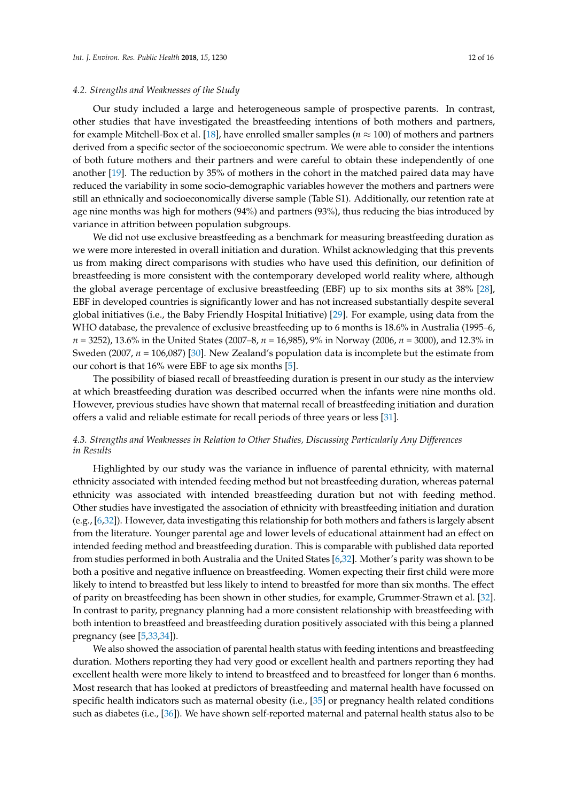#### *4.2. Strengths and Weaknesses of the Study*

Our study included a large and heterogeneous sample of prospective parents. In contrast, other studies that have investigated the breastfeeding intentions of both mothers and partners, for example Mitchell-Box et al. [\[18\]](#page-14-4), have enrolled smaller samples ( $n \approx 100$ ) of mothers and partners derived from a specific sector of the socioeconomic spectrum. We were able to consider the intentions of both future mothers and their partners and were careful to obtain these independently of one another [\[19\]](#page-14-5). The reduction by 35% of mothers in the cohort in the matched paired data may have reduced the variability in some socio-demographic variables however the mothers and partners were still an ethnically and socioeconomically diverse sample (Table S1). Additionally, our retention rate at age nine months was high for mothers (94%) and partners (93%), thus reducing the bias introduced by variance in attrition between population subgroups.

We did not use exclusive breastfeeding as a benchmark for measuring breastfeeding duration as we were more interested in overall initiation and duration. Whilst acknowledging that this prevents us from making direct comparisons with studies who have used this definition, our definition of breastfeeding is more consistent with the contemporary developed world reality where, although the global average percentage of exclusive breastfeeding (EBF) up to six months sits at 38% [\[28\]](#page-14-14), EBF in developed countries is significantly lower and has not increased substantially despite several global initiatives (i.e., the Baby Friendly Hospital Initiative) [\[29\]](#page-14-15). For example, using data from the WHO database, the prevalence of exclusive breastfeeding up to 6 months is 18.6% in Australia (1995–6, *n =* 3252), 13.6% in the United States (2007–8, *n =* 16,985), 9% in Norway (2006, *n =* 3000), and 12.3% in Sweden (2007,  $n = 106,087$ ) [\[30\]](#page-14-16). New Zealand's population data is incomplete but the estimate from our cohort is that 16% were EBF to age six months [\[5\]](#page-13-4).

The possibility of biased recall of breastfeeding duration is present in our study as the interview at which breastfeeding duration was described occurred when the infants were nine months old. However, previous studies have shown that maternal recall of breastfeeding initiation and duration offers a valid and reliable estimate for recall periods of three years or less [\[31\]](#page-14-17).

#### *4.3. Strengths and Weaknesses in Relation to Other Studies, Discussing Particularly Any Differences in Results*

Highlighted by our study was the variance in influence of parental ethnicity, with maternal ethnicity associated with intended feeding method but not breastfeeding duration, whereas paternal ethnicity was associated with intended breastfeeding duration but not with feeding method. Other studies have investigated the association of ethnicity with breastfeeding initiation and duration (e.g., [\[6,](#page-13-5)[32\]](#page-14-18)). However, data investigating this relationship for both mothers and fathers is largely absent from the literature. Younger parental age and lower levels of educational attainment had an effect on intended feeding method and breastfeeding duration. This is comparable with published data reported from studies performed in both Australia and the United States [\[6](#page-13-5)[,32\]](#page-14-18). Mother's parity was shown to be both a positive and negative influence on breastfeeding. Women expecting their first child were more likely to intend to breastfed but less likely to intend to breastfed for more than six months. The effect of parity on breastfeeding has been shown in other studies, for example, Grummer-Strawn et al. [\[32\]](#page-14-18). In contrast to parity, pregnancy planning had a more consistent relationship with breastfeeding with both intention to breastfeed and breastfeeding duration positively associated with this being a planned pregnancy (see [\[5,](#page-13-4)[33,](#page-14-19)[34\]](#page-15-0)).

We also showed the association of parental health status with feeding intentions and breastfeeding duration. Mothers reporting they had very good or excellent health and partners reporting they had excellent health were more likely to intend to breastfeed and to breastfeed for longer than 6 months. Most research that has looked at predictors of breastfeeding and maternal health have focussed on specific health indicators such as maternal obesity (i.e., [\[35\]](#page-15-1) or pregnancy health related conditions such as diabetes (i.e., [\[36\]](#page-15-2)). We have shown self-reported maternal and paternal health status also to be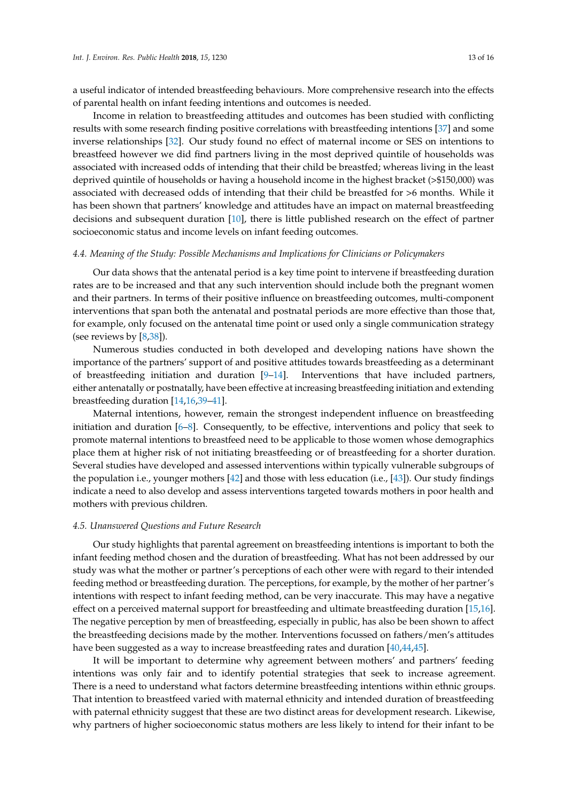a useful indicator of intended breastfeeding behaviours. More comprehensive research into the effects of parental health on infant feeding intentions and outcomes is needed.

Income in relation to breastfeeding attitudes and outcomes has been studied with conflicting results with some research finding positive correlations with breastfeeding intentions [\[37\]](#page-15-3) and some inverse relationships [\[32\]](#page-14-18). Our study found no effect of maternal income or SES on intentions to breastfeed however we did find partners living in the most deprived quintile of households was associated with increased odds of intending that their child be breastfed; whereas living in the least deprived quintile of households or having a household income in the highest bracket (>\$150,000) was associated with decreased odds of intending that their child be breastfed for >6 months. While it has been shown that partners' knowledge and attitudes have an impact on maternal breastfeeding decisions and subsequent duration [\[10\]](#page-13-9), there is little published research on the effect of partner socioeconomic status and income levels on infant feeding outcomes.

#### *4.4. Meaning of the Study: Possible Mechanisms and Implications for Clinicians or Policymakers*

Our data shows that the antenatal period is a key time point to intervene if breastfeeding duration rates are to be increased and that any such intervention should include both the pregnant women and their partners. In terms of their positive influence on breastfeeding outcomes, multi-component interventions that span both the antenatal and postnatal periods are more effective than those that, for example, only focused on the antenatal time point or used only a single communication strategy (see reviews by  $[8,38]$  $[8,38]$ ).

Numerous studies conducted in both developed and developing nations have shown the importance of the partners' support of and positive attitudes towards breastfeeding as a determinant of breastfeeding initiation and duration [\[9](#page-13-8)[–14\]](#page-14-0). Interventions that have included partners, either antenatally or postnatally, have been effective at increasing breastfeeding initiation and extending breastfeeding duration [\[14](#page-14-0)[,16](#page-14-2)[,39–](#page-15-5)[41\]](#page-15-6).

Maternal intentions, however, remain the strongest independent influence on breastfeeding initiation and duration [\[6](#page-13-5)[–8\]](#page-13-6). Consequently, to be effective, interventions and policy that seek to promote maternal intentions to breastfeed need to be applicable to those women whose demographics place them at higher risk of not initiating breastfeeding or of breastfeeding for a shorter duration. Several studies have developed and assessed interventions within typically vulnerable subgroups of the population i.e., younger mothers [\[42\]](#page-15-7) and those with less education (i.e., [\[43\]](#page-15-8)). Our study findings indicate a need to also develop and assess interventions targeted towards mothers in poor health and mothers with previous children.

#### *4.5. Unanswered Questions and Future Research*

Our study highlights that parental agreement on breastfeeding intentions is important to both the infant feeding method chosen and the duration of breastfeeding. What has not been addressed by our study was what the mother or partner's perceptions of each other were with regard to their intended feeding method or breastfeeding duration. The perceptions, for example, by the mother of her partner's intentions with respect to infant feeding method, can be very inaccurate. This may have a negative effect on a perceived maternal support for breastfeeding and ultimate breastfeeding duration [\[15,](#page-14-1)[16\]](#page-14-2). The negative perception by men of breastfeeding, especially in public, has also be been shown to affect the breastfeeding decisions made by the mother. Interventions focussed on fathers/men's attitudes have been suggested as a way to increase breastfeeding rates and duration [\[40,](#page-15-9)[44,](#page-15-10)[45\]](#page-15-11).

It will be important to determine why agreement between mothers' and partners' feeding intentions was only fair and to identify potential strategies that seek to increase agreement. There is a need to understand what factors determine breastfeeding intentions within ethnic groups. That intention to breastfeed varied with maternal ethnicity and intended duration of breastfeeding with paternal ethnicity suggest that these are two distinct areas for development research. Likewise, why partners of higher socioeconomic status mothers are less likely to intend for their infant to be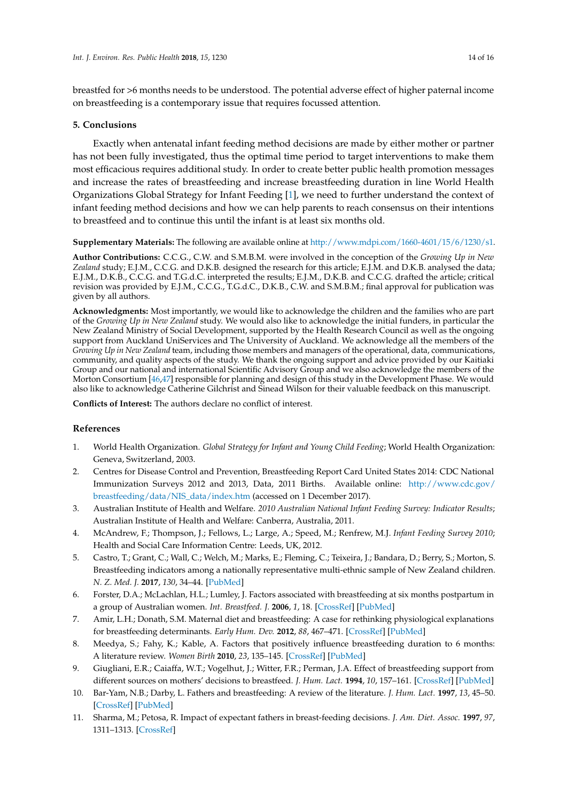breastfed for >6 months needs to be understood. The potential adverse effect of higher paternal income on breastfeeding is a contemporary issue that requires focussed attention.

#### **5. Conclusions**

Exactly when antenatal infant feeding method decisions are made by either mother or partner has not been fully investigated, thus the optimal time period to target interventions to make them most efficacious requires additional study. In order to create better public health promotion messages and increase the rates of breastfeeding and increase breastfeeding duration in line World Health Organizations Global Strategy for Infant Feeding [\[1\]](#page-13-0), we need to further understand the context of infant feeding method decisions and how we can help parents to reach consensus on their intentions to breastfeed and to continue this until the infant is at least six months old.

**Supplementary Materials:** The following are available online at [http://www.mdpi.com/1660-4601/15/6/1230/s1.](http://www.mdpi.com/1660-4601/15/6/1230/s1)

**Author Contributions:** C.C.G., C.W. and S.M.B.M. were involved in the conception of the *Growing Up in New Zealand* study; E.J.M., C.C.G. and D.K.B. designed the research for this article; E.J.M. and D.K.B. analysed the data; E.J.M., D.K.B., C.C.G. and T.G.d.C. interpreted the results; E.J.M., D.K.B. and C.C.G. drafted the article; critical revision was provided by E.J.M., C.C.G., T.G.d.C., D.K.B., C.W. and S.M.B.M.; final approval for publication was given by all authors.

**Acknowledgments:** Most importantly, we would like to acknowledge the children and the families who are part of the *Growing Up in New Zealand* study. We would also like to acknowledge the initial funders, in particular the New Zealand Ministry of Social Development, supported by the Health Research Council as well as the ongoing support from Auckland UniServices and The University of Auckland. We acknowledge all the members of the *Growing Up in New Zealand* team, including those members and managers of the operational, data, communications, community, and quality aspects of the study. We thank the ongoing support and advice provided by our Kaitiaki Group and our national and international Scientific Advisory Group and we also acknowledge the members of the Morton Consortium [\[46](#page-15-12)[,47\]](#page-15-13) responsible for planning and design of this study in the Development Phase. We would also like to acknowledge Catherine Gilchrist and Sinead Wilson for their valuable feedback on this manuscript.

**Conflicts of Interest:** The authors declare no conflict of interest.

#### **References**

- <span id="page-13-0"></span>1. World Health Organization. *Global Strategy for Infant and Young Child Feeding*; World Health Organization: Geneva, Switzerland, 2003.
- <span id="page-13-1"></span>2. Centres for Disease Control and Prevention, Breastfeeding Report Card United States 2014: CDC National Immunization Surveys 2012 and 2013, Data, 2011 Births. Available online: [http://www.cdc.gov/](http://www.cdc.gov/breastfeeding/data/NIS_data/index.htm) [breastfeeding/data/NIS\\_data/index.htm](http://www.cdc.gov/breastfeeding/data/NIS_data/index.htm) (accessed on 1 December 2017).
- <span id="page-13-2"></span>3. Australian Institute of Health and Welfare. *2010 Australian National Infant Feeding Survey: Indicator Results*; Australian Institute of Health and Welfare: Canberra, Australia, 2011.
- <span id="page-13-3"></span>4. McAndrew, F.; Thompson, J.; Fellows, L.; Large, A.; Speed, M.; Renfrew, M.J. *Infant Feeding Survey 2010*; Health and Social Care Information Centre: Leeds, UK, 2012.
- <span id="page-13-4"></span>5. Castro, T.; Grant, C.; Wall, C.; Welch, M.; Marks, E.; Fleming, C.; Teixeira, J.; Bandara, D.; Berry, S.; Morton, S. Breastfeeding indicators among a nationally representative multi-ethnic sample of New Zealand children. *N. Z. Med. J.* **2017**, *130*, 34–44. [\[PubMed\]](http://www.ncbi.nlm.nih.gov/pubmed/29197899)
- <span id="page-13-5"></span>6. Forster, D.A.; McLachlan, H.L.; Lumley, J. Factors associated with breastfeeding at six months postpartum in a group of Australian women. *Int. Breastfeed. J.* **2006**, *1*, 18. [\[CrossRef\]](http://dx.doi.org/10.1186/1746-4358-1-18) [\[PubMed\]](http://www.ncbi.nlm.nih.gov/pubmed/17034645)
- <span id="page-13-7"></span>7. Amir, L.H.; Donath, S.M. Maternal diet and breastfeeding: A case for rethinking physiological explanations for breastfeeding determinants. *Early Hum. Dev.* **2012**, *88*, 467–471. [\[CrossRef\]](http://dx.doi.org/10.1016/j.earlhumdev.2011.11.002) [\[PubMed\]](http://www.ncbi.nlm.nih.gov/pubmed/22118871)
- <span id="page-13-6"></span>8. Meedya, S.; Fahy, K.; Kable, A. Factors that positively influence breastfeeding duration to 6 months: A literature review. *Women Birth* **2010**, *23*, 135–145. [\[CrossRef\]](http://dx.doi.org/10.1016/j.wombi.2010.02.002) [\[PubMed\]](http://www.ncbi.nlm.nih.gov/pubmed/20299299)
- <span id="page-13-8"></span>9. Giugliani, E.R.; Caiaffa, W.T.; Vogelhut, J.; Witter, F.R.; Perman, J.A. Effect of breastfeeding support from different sources on mothers' decisions to breastfeed. *J. Hum. Lact.* **1994**, *10*, 157–161. [\[CrossRef\]](http://dx.doi.org/10.1177/089033449401000310) [\[PubMed\]](http://www.ncbi.nlm.nih.gov/pubmed/7619265)
- <span id="page-13-9"></span>10. Bar-Yam, N.B.; Darby, L. Fathers and breastfeeding: A review of the literature. *J. Hum. Lact.* **1997**, *13*, 45–50. [\[CrossRef\]](http://dx.doi.org/10.1177/089033449701300116) [\[PubMed\]](http://www.ncbi.nlm.nih.gov/pubmed/9233185)
- 11. Sharma, M.; Petosa, R. Impact of expectant fathers in breast-feeding decisions. *J. Am. Diet. Assoc.* **1997**, *97*, 1311–1313. [\[CrossRef\]](http://dx.doi.org/10.1016/S0002-8223(97)00312-X)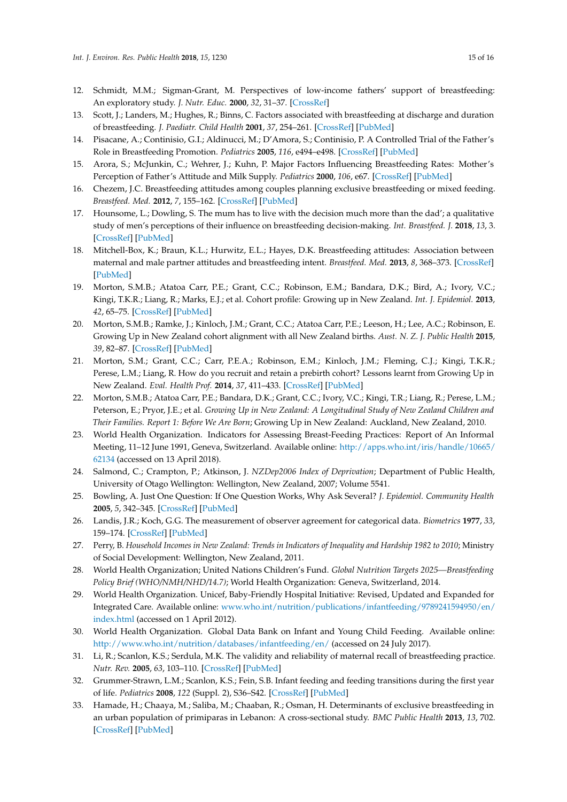- 12. Schmidt, M.M.; Sigman-Grant, M. Perspectives of low-income fathers' support of breastfeeding: An exploratory study. *J. Nutr. Educ.* **2000**, *32*, 31–37. [\[CrossRef\]](http://dx.doi.org/10.1016/S0022-3182(00)70507-3)
- 13. Scott, J.; Landers, M.; Hughes, R.; Binns, C. Factors associated with breastfeeding at discharge and duration of breastfeeding. *J. Paediatr. Child Health* **2001**, *37*, 254–261. [\[CrossRef\]](http://dx.doi.org/10.1046/j.1440-1754.2001.00646.x) [\[PubMed\]](http://www.ncbi.nlm.nih.gov/pubmed/11468040)
- <span id="page-14-0"></span>14. Pisacane, A.; Continisio, G.I.; Aldinucci, M.; D'Amora, S.; Continisio, P. A Controlled Trial of the Father's Role in Breastfeeding Promotion. *Pediatrics* **2005**, *116*, e494–e498. [\[CrossRef\]](http://dx.doi.org/10.1542/peds.2005-0479) [\[PubMed\]](http://www.ncbi.nlm.nih.gov/pubmed/16199676)
- <span id="page-14-1"></span>15. Arora, S.; McJunkin, C.; Wehrer, J.; Kuhn, P. Major Factors Influencing Breastfeeding Rates: Mother's Perception of Father's Attitude and Milk Supply. *Pediatrics* **2000**, *106*, e67. [\[CrossRef\]](http://dx.doi.org/10.1542/peds.106.5.e67) [\[PubMed\]](http://www.ncbi.nlm.nih.gov/pubmed/11061804)
- <span id="page-14-2"></span>16. Chezem, J.C. Breastfeeding attitudes among couples planning exclusive breastfeeding or mixed feeding. *Breastfeed. Med.* **2012**, *7*, 155–162. [\[CrossRef\]](http://dx.doi.org/10.1089/bfm.2011.0024) [\[PubMed\]](http://www.ncbi.nlm.nih.gov/pubmed/22224507)
- <span id="page-14-3"></span>17. Hounsome, L.; Dowling, S. The mum has to live with the decision much more than the dad'; a qualitative study of men's perceptions of their influence on breastfeeding decision-making. *Int. Breastfeed. J.* **2018**, *13*, 3. [\[CrossRef\]](http://dx.doi.org/10.1186/s13006-018-0145-1) [\[PubMed\]](http://www.ncbi.nlm.nih.gov/pubmed/29371876)
- <span id="page-14-4"></span>18. Mitchell-Box, K.; Braun, K.L.; Hurwitz, E.L.; Hayes, D.K. Breastfeeding attitudes: Association between maternal and male partner attitudes and breastfeeding intent. *Breastfeed. Med.* **2013**, *8*, 368–373. [\[CrossRef\]](http://dx.doi.org/10.1089/bfm.2012.0135) [\[PubMed\]](http://www.ncbi.nlm.nih.gov/pubmed/23560449)
- <span id="page-14-5"></span>19. Morton, S.M.B.; Atatoa Carr, P.E.; Grant, C.C.; Robinson, E.M.; Bandara, D.K.; Bird, A.; Ivory, V.C.; Kingi, T.K.R.; Liang, R.; Marks, E.J.; et al. Cohort profile: Growing up in New Zealand. *Int. J. Epidemiol.* **2013**, *42*, 65–75. [\[CrossRef\]](http://dx.doi.org/10.1093/ije/dyr206) [\[PubMed\]](http://www.ncbi.nlm.nih.gov/pubmed/22253317)
- <span id="page-14-6"></span>20. Morton, S.M.B.; Ramke, J.; Kinloch, J.M.; Grant, C.C.; Atatoa Carr, P.E.; Leeson, H.; Lee, A.C.; Robinson, E. Growing Up in New Zealand cohort alignment with all New Zealand births. *Aust. N. Z. J. Public Health* **2015**, *39*, 82–87. [\[CrossRef\]](http://dx.doi.org/10.1111/1753-6405.12220) [\[PubMed\]](http://www.ncbi.nlm.nih.gov/pubmed/25168836)
- <span id="page-14-7"></span>21. Morton, S.M.; Grant, C.C.; Carr, P.E.A.; Robinson, E.M.; Kinloch, J.M.; Fleming, C.J.; Kingi, T.K.R.; Perese, L.M.; Liang, R. How do you recruit and retain a prebirth cohort? Lessons learnt from Growing Up in New Zealand. *Eval. Health Prof.* **2014**, *37*, 411–433. [\[CrossRef\]](http://dx.doi.org/10.1177/0163278712462717) [\[PubMed\]](http://www.ncbi.nlm.nih.gov/pubmed/23109469)
- <span id="page-14-8"></span>22. Morton, S.M.B.; Atatoa Carr, P.E.; Bandara, D.K.; Grant, C.C.; Ivory, V.C.; Kingi, T.R.; Liang, R.; Perese, L.M.; Peterson, E.; Pryor, J.E.; et al. *Growing Up in New Zealand: A Longitudinal Study of New Zealand Children and Their Families. Report 1: Before We Are Born*; Growing Up in New Zealand: Auckland, New Zealand, 2010.
- <span id="page-14-9"></span>23. World Health Organization. Indicators for Assessing Breast-Feeding Practices: Report of An Informal Meeting, 11-12 June 1991, Geneva, Switzerland. Available online: [http://apps.who.int/iris/handle/10665/](http://apps.who.int/iris/handle/10665/62134) [62134](http://apps.who.int/iris/handle/10665/62134) (accessed on 13 April 2018).
- <span id="page-14-10"></span>24. Salmond, C.; Crampton, P.; Atkinson, J. *NZDep2006 Index of Deprivation*; Department of Public Health, University of Otago Wellington: Wellington, New Zealand, 2007; Volume 5541.
- <span id="page-14-11"></span>25. Bowling, A. Just One Question: If One Question Works, Why Ask Several? *J. Epidemiol. Community Health* **2005**, *5*, 342–345. [\[CrossRef\]](http://dx.doi.org/10.1136/jech.2004.021204) [\[PubMed\]](http://www.ncbi.nlm.nih.gov/pubmed/15831678)
- <span id="page-14-12"></span>26. Landis, J.R.; Koch, G.G. The measurement of observer agreement for categorical data. *Biometrics* **1977**, *33*, 159–174. [\[CrossRef\]](http://dx.doi.org/10.2307/2529310) [\[PubMed\]](http://www.ncbi.nlm.nih.gov/pubmed/843571)
- <span id="page-14-13"></span>27. Perry, B. *Household Incomes in New Zealand: Trends in Indicators of Inequality and Hardship 1982 to 2010*; Ministry of Social Development: Wellington, New Zealand, 2011.
- <span id="page-14-14"></span>28. World Health Organization; United Nations Children's Fund. *Global Nutrition Targets 2025—Breastfeeding Policy Brief (WHO/NMH/NHD/14.7)*; World Health Organization: Geneva, Switzerland, 2014.
- <span id="page-14-15"></span>29. World Health Organization. Unicef, Baby-Friendly Hospital Initiative: Revised, Updated and Expanded for Integrated Care. Available online: [www.who.int/nutrition/publications/infantfeeding/9789241594950/en/](www.who.int/nutrition/publications/infantfeeding/9789241594950/en/index.html) [index.html](www.who.int/nutrition/publications/infantfeeding/9789241594950/en/index.html) (accessed on 1 April 2012).
- <span id="page-14-16"></span>30. World Health Organization. Global Data Bank on Infant and Young Child Feeding. Available online: <http://www.who.int/nutrition/databases/infantfeeding/en/> (accessed on 24 July 2017).
- <span id="page-14-17"></span>31. Li, R.; Scanlon, K.S.; Serdula, M.K. The validity and reliability of maternal recall of breastfeeding practice. *Nutr. Rev.* **2005**, *63*, 103–110. [\[CrossRef\]](http://dx.doi.org/10.1111/j.1753-4887.2005.tb00128.x) [\[PubMed\]](http://www.ncbi.nlm.nih.gov/pubmed/15869124)
- <span id="page-14-18"></span>32. Grummer-Strawn, L.M.; Scanlon, K.S.; Fein, S.B. Infant feeding and feeding transitions during the first year of life. *Pediatrics* **2008**, *122* (Suppl. 2), S36–S42. [\[CrossRef\]](http://dx.doi.org/10.1542/peds.2008-1315D) [\[PubMed\]](http://www.ncbi.nlm.nih.gov/pubmed/18829829)
- <span id="page-14-19"></span>33. Hamade, H.; Chaaya, M.; Saliba, M.; Chaaban, R.; Osman, H. Determinants of exclusive breastfeeding in an urban population of primiparas in Lebanon: A cross-sectional study. *BMC Public Health* **2013**, *13*, 702. [\[CrossRef\]](http://dx.doi.org/10.1186/1471-2458-13-702) [\[PubMed\]](http://www.ncbi.nlm.nih.gov/pubmed/23902627)